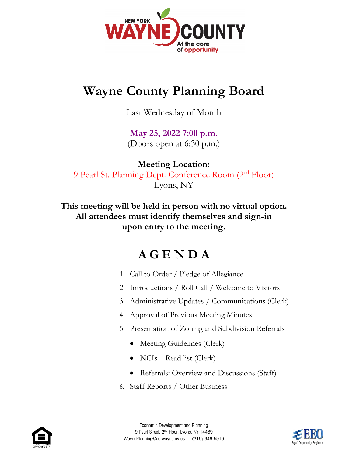

## **Wayne County Planning Board**

Last Wednesday of Month

## **[May 25, 2022](https://web.co.wayne.ny.us/Calendar.aspx?EID=418) 7:00 p.m.**

(Doors open at 6:30 p.m.)

**Meeting Location:** 9 Pearl St. Planning Dept. Conference Room (2nd Floor) Lyons, NY

**This meeting will be held in person with no virtual option. All attendees must identify themselves and sign-in upon entry to the meeting.**

## **A G E N D A**

- 1. Call to Order / Pledge of Allegiance
- 2. Introductions / Roll Call / Welcome to Visitors
- 3. Administrative Updates / Communications (Clerk)
- 4. Approval of Previous Meeting Minutes
- 5. Presentation of Zoning and Subdivision Referrals
	- Meeting Guidelines (Clerk)
	- NCIs Read list (Clerk)
	- Referrals: Overview and Discussions (Staff)
- 6. Staff Reports / Other Business